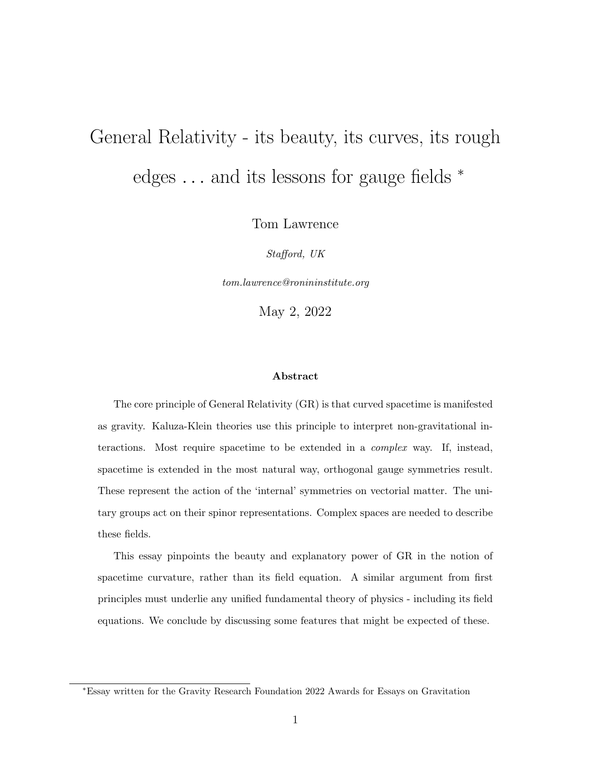# General Relativity - its beauty, its curves, its rough edges  $\dots$  and its lessons for gauge fields  $*$

Tom Lawrence

Stafford, UK

tom.lawrence@ronininstitute.org

May 2, 2022

#### Abstract

The core principle of General Relativity (GR) is that curved spacetime is manifested as gravity. Kaluza-Klein theories use this principle to interpret non-gravitational interactions. Most require spacetime to be extended in a complex way. If, instead, spacetime is extended in the most natural way, orthogonal gauge symmetries result. These represent the action of the 'internal' symmetries on vectorial matter. The unitary groups act on their spinor representations. Complex spaces are needed to describe these fields.

This essay pinpoints the beauty and explanatory power of GR in the notion of spacetime curvature, rather than its field equation. A similar argument from first principles must underlie any unified fundamental theory of physics - including its field equations. We conclude by discussing some features that might be expected of these.

<sup>∗</sup>Essay written for the Gravity Research Foundation 2022 Awards for Essays on Gravitation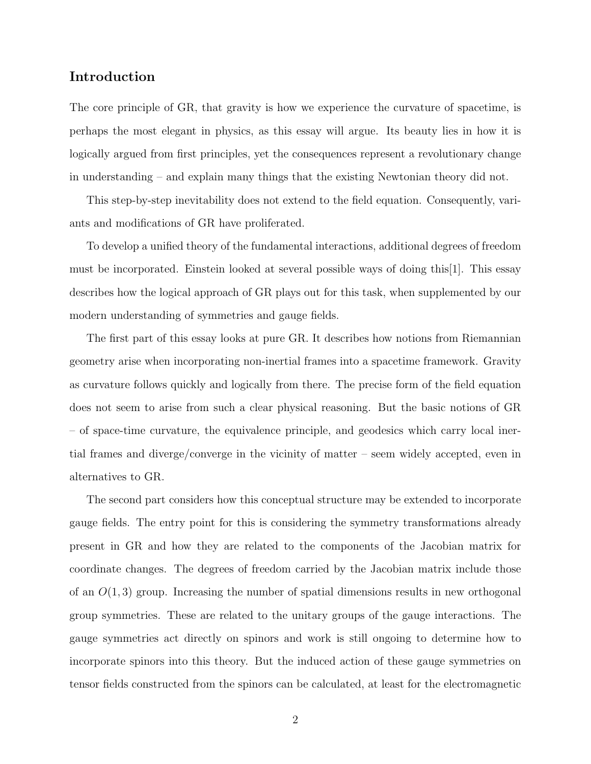## Introduction

The core principle of GR, that gravity is how we experience the curvature of spacetime, is perhaps the most elegant in physics, as this essay will argue. Its beauty lies in how it is logically argued from first principles, yet the consequences represent a revolutionary change in understanding – and explain many things that the existing Newtonian theory did not.

This step-by-step inevitability does not extend to the field equation. Consequently, variants and modifications of GR have proliferated.

To develop a unified theory of the fundamental interactions, additional degrees of freedom must be incorporated. Einstein looked at several possible ways of doing this[1]. This essay describes how the logical approach of GR plays out for this task, when supplemented by our modern understanding of symmetries and gauge fields.

The first part of this essay looks at pure GR. It describes how notions from Riemannian geometry arise when incorporating non-inertial frames into a spacetime framework. Gravity as curvature follows quickly and logically from there. The precise form of the field equation does not seem to arise from such a clear physical reasoning. But the basic notions of GR – of space-time curvature, the equivalence principle, and geodesics which carry local inertial frames and diverge/converge in the vicinity of matter – seem widely accepted, even in alternatives to GR.

The second part considers how this conceptual structure may be extended to incorporate gauge fields. The entry point for this is considering the symmetry transformations already present in GR and how they are related to the components of the Jacobian matrix for coordinate changes. The degrees of freedom carried by the Jacobian matrix include those of an  $O(1,3)$  group. Increasing the number of spatial dimensions results in new orthogonal group symmetries. These are related to the unitary groups of the gauge interactions. The gauge symmetries act directly on spinors and work is still ongoing to determine how to incorporate spinors into this theory. But the induced action of these gauge symmetries on tensor fields constructed from the spinors can be calculated, at least for the electromagnetic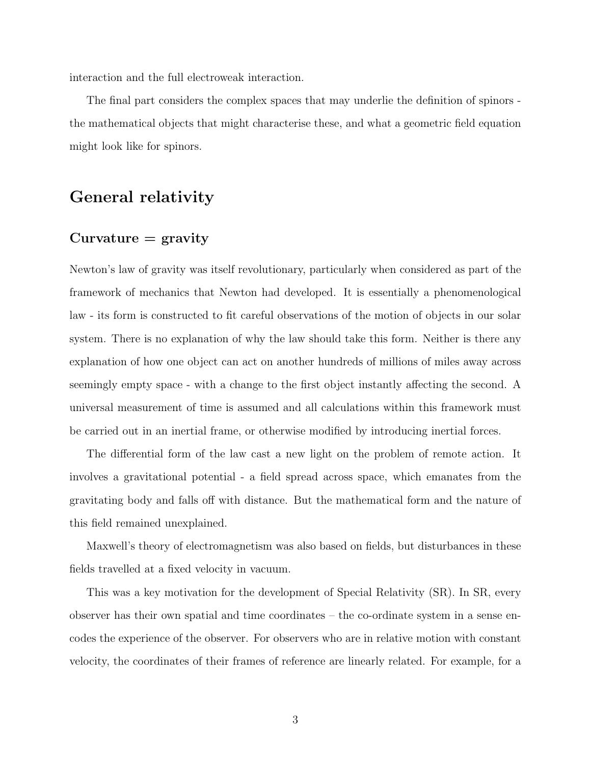interaction and the full electroweak interaction.

The final part considers the complex spaces that may underlie the definition of spinors the mathematical objects that might characterise these, and what a geometric field equation might look like for spinors.

## General relativity

## $Curvature = gravity$

Newton's law of gravity was itself revolutionary, particularly when considered as part of the framework of mechanics that Newton had developed. It is essentially a phenomenological law - its form is constructed to fit careful observations of the motion of objects in our solar system. There is no explanation of why the law should take this form. Neither is there any explanation of how one object can act on another hundreds of millions of miles away across seemingly empty space - with a change to the first object instantly affecting the second. A universal measurement of time is assumed and all calculations within this framework must be carried out in an inertial frame, or otherwise modified by introducing inertial forces.

The differential form of the law cast a new light on the problem of remote action. It involves a gravitational potential - a field spread across space, which emanates from the gravitating body and falls off with distance. But the mathematical form and the nature of this field remained unexplained.

Maxwell's theory of electromagnetism was also based on fields, but disturbances in these fields travelled at a fixed velocity in vacuum.

This was a key motivation for the development of Special Relativity (SR). In SR, every observer has their own spatial and time coordinates – the co-ordinate system in a sense encodes the experience of the observer. For observers who are in relative motion with constant velocity, the coordinates of their frames of reference are linearly related. For example, for a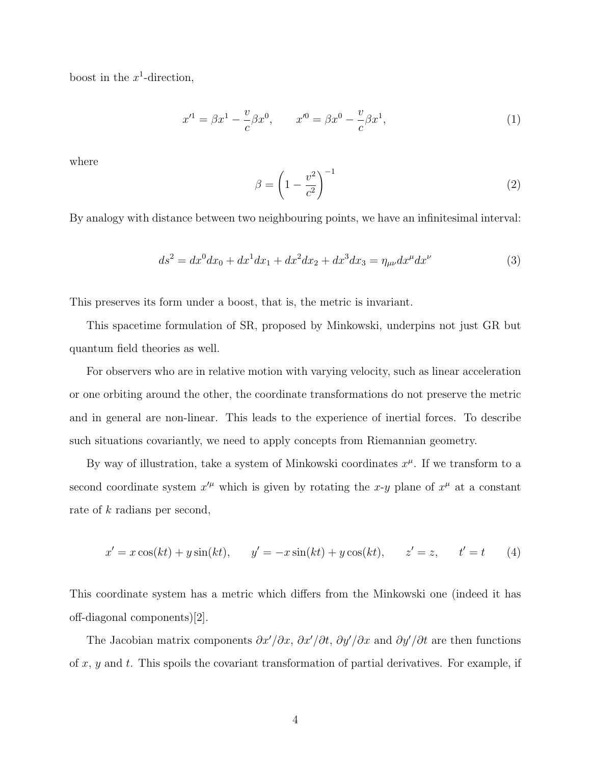boost in the  $x^1$ -direction,

$$
x'^1 = \beta x^1 - \frac{v}{c} \beta x^0, \qquad x'^0 = \beta x^0 - \frac{v}{c} \beta x^1,\tag{1}
$$

where

$$
\beta = \left(1 - \frac{v^2}{c^2}\right)^{-1} \tag{2}
$$

By analogy with distance between two neighbouring points, we have an infinitesimal interval:

$$
ds^{2} = dx^{0}dx_{0} + dx^{1}dx_{1} + dx^{2}dx_{2} + dx^{3}dx_{3} = \eta_{\mu\nu}dx^{\mu}dx^{\nu}
$$
\n(3)

This preserves its form under a boost, that is, the metric is invariant.

This spacetime formulation of SR, proposed by Minkowski, underpins not just GR but quantum field theories as well.

For observers who are in relative motion with varying velocity, such as linear acceleration or one orbiting around the other, the coordinate transformations do not preserve the metric and in general are non-linear. This leads to the experience of inertial forces. To describe such situations covariantly, we need to apply concepts from Riemannian geometry.

By way of illustration, take a system of Minkowski coordinates  $x^{\mu}$ . If we transform to a second coordinate system  $x^{\prime \mu}$  which is given by rotating the x-y plane of  $x^{\mu}$  at a constant rate of k radians per second,

$$
x' = x\cos(kt) + y\sin(kt), \qquad y' = -x\sin(kt) + y\cos(kt), \qquad z' = z, \qquad t' = t \tag{4}
$$

This coordinate system has a metric which differs from the Minkowski one (indeed it has off-diagonal components)[2].

The Jacobian matrix components  $\partial x'/\partial x$ ,  $\partial x'/\partial t$ ,  $\partial y'/\partial x$  and  $\partial y'/\partial t$  are then functions of  $x, y$  and  $t$ . This spoils the covariant transformation of partial derivatives. For example, if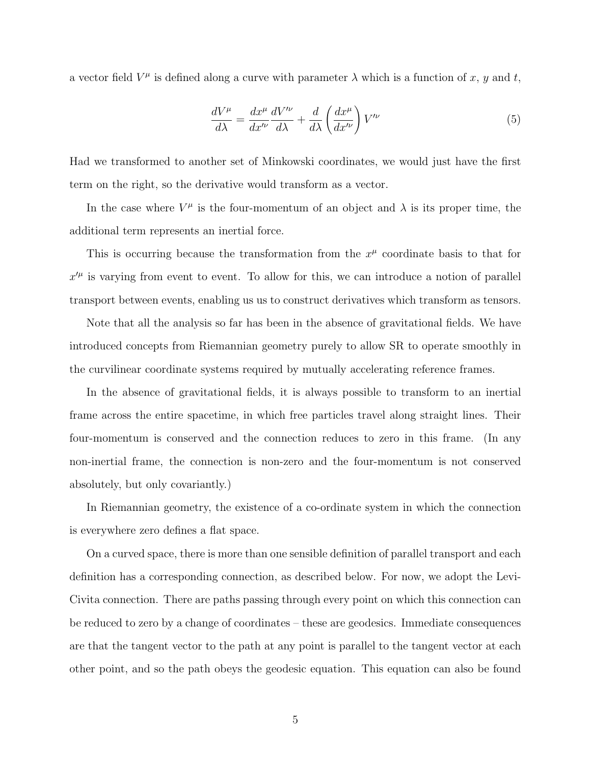a vector field  $V^{\mu}$  is defined along a curve with parameter  $\lambda$  which is a function of x, y and t,

$$
\frac{dV^{\mu}}{d\lambda} = \frac{dx^{\mu}}{dx^{\prime\nu}} \frac{dV^{\prime\nu}}{d\lambda} + \frac{d}{d\lambda} \left(\frac{dx^{\mu}}{dx^{\prime\nu}}\right) V^{\prime\nu} \tag{5}
$$

Had we transformed to another set of Minkowski coordinates, we would just have the first term on the right, so the derivative would transform as a vector.

In the case where  $V^{\mu}$  is the four-momentum of an object and  $\lambda$  is its proper time, the additional term represents an inertial force.

This is occurring because the transformation from the  $x^{\mu}$  coordinate basis to that for  $x^{\prime\mu}$  is varying from event to event. To allow for this, we can introduce a notion of parallel transport between events, enabling us us to construct derivatives which transform as tensors.

Note that all the analysis so far has been in the absence of gravitational fields. We have introduced concepts from Riemannian geometry purely to allow SR to operate smoothly in the curvilinear coordinate systems required by mutually accelerating reference frames.

In the absence of gravitational fields, it is always possible to transform to an inertial frame across the entire spacetime, in which free particles travel along straight lines. Their four-momentum is conserved and the connection reduces to zero in this frame. (In any non-inertial frame, the connection is non-zero and the four-momentum is not conserved absolutely, but only covariantly.)

In Riemannian geometry, the existence of a co-ordinate system in which the connection is everywhere zero defines a flat space.

On a curved space, there is more than one sensible definition of parallel transport and each definition has a corresponding connection, as described below. For now, we adopt the Levi-Civita connection. There are paths passing through every point on which this connection can be reduced to zero by a change of coordinates – these are geodesics. Immediate consequences are that the tangent vector to the path at any point is parallel to the tangent vector at each other point, and so the path obeys the geodesic equation. This equation can also be found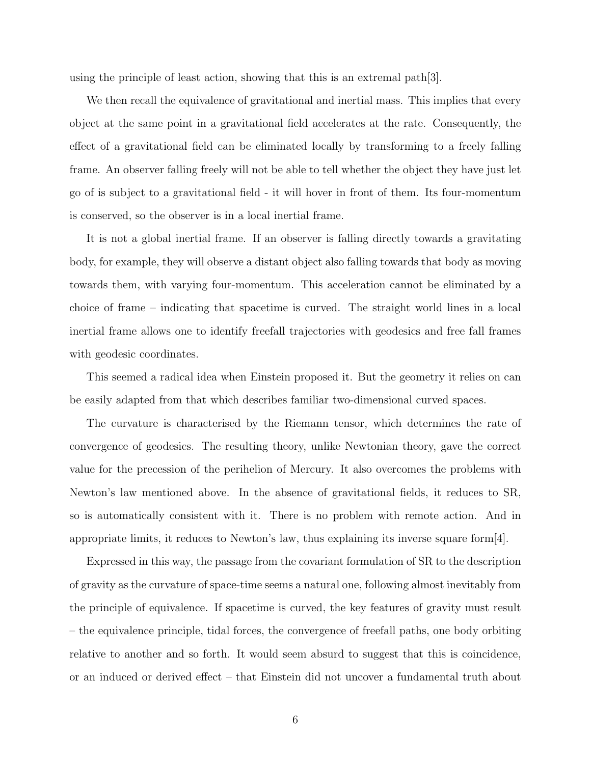using the principle of least action, showing that this is an extremal path  $|3|$ .

We then recall the equivalence of gravitational and inertial mass. This implies that every object at the same point in a gravitational field accelerates at the rate. Consequently, the effect of a gravitational field can be eliminated locally by transforming to a freely falling frame. An observer falling freely will not be able to tell whether the object they have just let go of is subject to a gravitational field - it will hover in front of them. Its four-momentum is conserved, so the observer is in a local inertial frame.

It is not a global inertial frame. If an observer is falling directly towards a gravitating body, for example, they will observe a distant object also falling towards that body as moving towards them, with varying four-momentum. This acceleration cannot be eliminated by a choice of frame – indicating that spacetime is curved. The straight world lines in a local inertial frame allows one to identify freefall trajectories with geodesics and free fall frames with geodesic coordinates.

This seemed a radical idea when Einstein proposed it. But the geometry it relies on can be easily adapted from that which describes familiar two-dimensional curved spaces.

The curvature is characterised by the Riemann tensor, which determines the rate of convergence of geodesics. The resulting theory, unlike Newtonian theory, gave the correct value for the precession of the perihelion of Mercury. It also overcomes the problems with Newton's law mentioned above. In the absence of gravitational fields, it reduces to SR, so is automatically consistent with it. There is no problem with remote action. And in appropriate limits, it reduces to Newton's law, thus explaining its inverse square form[4].

Expressed in this way, the passage from the covariant formulation of SR to the description of gravity as the curvature of space-time seems a natural one, following almost inevitably from the principle of equivalence. If spacetime is curved, the key features of gravity must result – the equivalence principle, tidal forces, the convergence of freefall paths, one body orbiting relative to another and so forth. It would seem absurd to suggest that this is coincidence, or an induced or derived effect – that Einstein did not uncover a fundamental truth about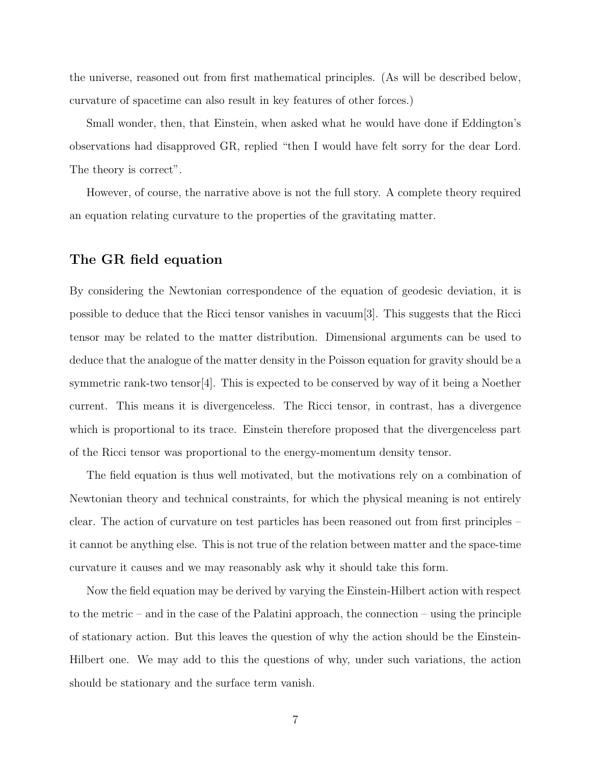the universe, reasoned out from first mathematical principles. (As will be described below, curvature of spacetime can also result in key features of other forces.)

Small wonder, then, that Einstein, when asked what he would have done if Eddington's observations had disapproved GR, replied "then I would have felt sorry for the dear Lord. The theory is correct".

However, of course, the narrative above is not the full story. A complete theory required an equation relating curvature to the properties of the gravitating matter.

## The GR field equation

By considering the Newtonian correspondence of the equation of geodesic deviation, it is possible to deduce that the Ricci tensor vanishes in vacuum[3]. This suggests that the Ricci tensor may be related to the matter distribution. Dimensional arguments can be used to deduce that the analogue of the matter density in the Poisson equation for gravity should be a symmetric rank-two tensor[4]. This is expected to be conserved by way of it being a Noether current. This means it is divergenceless. The Ricci tensor, in contrast, has a divergence which is proportional to its trace. Einstein therefore proposed that the divergenceless part of the Ricci tensor was proportional to the energy-momentum density tensor.

The field equation is thus well motivated, but the motivations rely on a combination of Newtonian theory and technical constraints, for which the physical meaning is not entirely clear. The action of curvature on test particles has been reasoned out from first principles – it cannot be anything else. This is not true of the relation between matter and the space-time curvature it causes and we may reasonably ask why it should take this form.

Now the field equation may be derived by varying the Einstein-Hilbert action with respect to the metric – and in the case of the Palatini approach, the connection – using the principle of stationary action. But this leaves the question of why the action should be the Einstein-Hilbert one. We may add to this the questions of why, under such variations, the action should be stationary and the surface term vanish.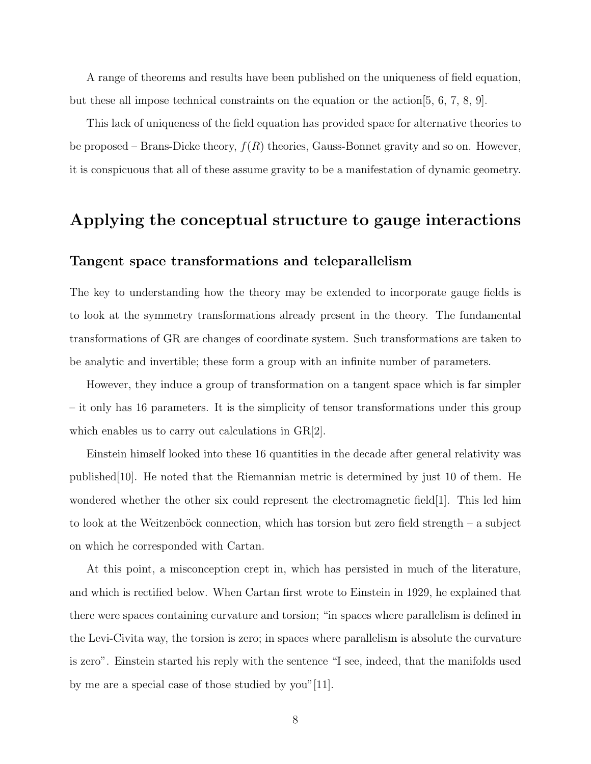A range of theorems and results have been published on the uniqueness of field equation, but these all impose technical constraints on the equation or the action[5, 6, 7, 8, 9].

This lack of uniqueness of the field equation has provided space for alternative theories to be proposed – Brans-Dicke theory,  $f(R)$  theories, Gauss-Bonnet gravity and so on. However, it is conspicuous that all of these assume gravity to be a manifestation of dynamic geometry.

## Applying the conceptual structure to gauge interactions

## Tangent space transformations and teleparallelism

The key to understanding how the theory may be extended to incorporate gauge fields is to look at the symmetry transformations already present in the theory. The fundamental transformations of GR are changes of coordinate system. Such transformations are taken to be analytic and invertible; these form a group with an infinite number of parameters.

However, they induce a group of transformation on a tangent space which is far simpler – it only has 16 parameters. It is the simplicity of tensor transformations under this group which enables us to carry out calculations in GR[2].

Einstein himself looked into these 16 quantities in the decade after general relativity was published[10]. He noted that the Riemannian metric is determined by just 10 of them. He wondered whether the other six could represent the electromagnetic field[1]. This led him to look at the Weitzenböck connection, which has torsion but zero field strength – a subject on which he corresponded with Cartan.

At this point, a misconception crept in, which has persisted in much of the literature, and which is rectified below. When Cartan first wrote to Einstein in 1929, he explained that there were spaces containing curvature and torsion; "in spaces where parallelism is defined in the Levi-Civita way, the torsion is zero; in spaces where parallelism is absolute the curvature is zero". Einstein started his reply with the sentence "I see, indeed, that the manifolds used by me are a special case of those studied by you"[11].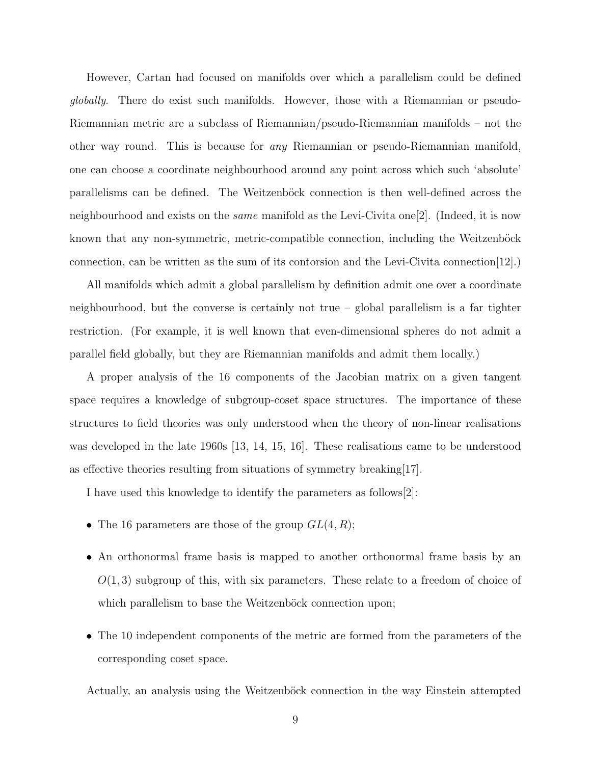However, Cartan had focused on manifolds over which a parallelism could be defined globally. There do exist such manifolds. However, those with a Riemannian or pseudo-Riemannian metric are a subclass of Riemannian/pseudo-Riemannian manifolds – not the other way round. This is because for any Riemannian or pseudo-Riemannian manifold, one can choose a coordinate neighbourhood around any point across which such 'absolute' parallelisms can be defined. The Weitzenböck connection is then well-defined across the neighbourhood and exists on the *same* manifold as the Levi-Civita one<sup>[2]</sup>. (Indeed, it is now known that any non-symmetric, metric-compatible connection, including the Weitzenböck connection, can be written as the sum of its contorsion and the Levi-Civita connection  $[12]$ .

All manifolds which admit a global parallelism by definition admit one over a coordinate neighbourhood, but the converse is certainly not true – global parallelism is a far tighter restriction. (For example, it is well known that even-dimensional spheres do not admit a parallel field globally, but they are Riemannian manifolds and admit them locally.)

A proper analysis of the 16 components of the Jacobian matrix on a given tangent space requires a knowledge of subgroup-coset space structures. The importance of these structures to field theories was only understood when the theory of non-linear realisations was developed in the late 1960s [13, 14, 15, 16]. These realisations came to be understood as effective theories resulting from situations of symmetry breaking[17].

I have used this knowledge to identify the parameters as follows[2]:

- The 16 parameters are those of the group  $GL(4, R)$ ;
- An orthonormal frame basis is mapped to another orthonormal frame basis by an  $O(1, 3)$  subgroup of this, with six parameters. These relate to a freedom of choice of which parallelism to base the Weitzenböck connection upon;
- The 10 independent components of the metric are formed from the parameters of the corresponding coset space.

Actually, an analysis using the Weitzenböck connection in the way Einstein attempted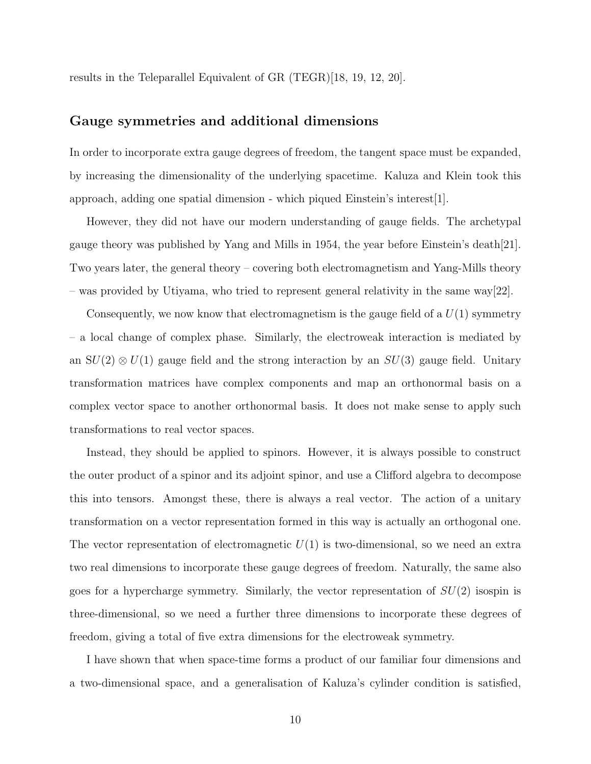results in the Teleparallel Equivalent of GR (TEGR)[18, 19, 12, 20].

### Gauge symmetries and additional dimensions

In order to incorporate extra gauge degrees of freedom, the tangent space must be expanded, by increasing the dimensionality of the underlying spacetime. Kaluza and Klein took this approach, adding one spatial dimension - which piqued Einstein's interest [1].

However, they did not have our modern understanding of gauge fields. The archetypal gauge theory was published by Yang and Mills in 1954, the year before Einstein's death[21]. Two years later, the general theory – covering both electromagnetism and Yang-Mills theory – was provided by Utiyama, who tried to represent general relativity in the same way[22].

Consequently, we now know that electromagnetism is the gauge field of a  $U(1)$  symmetry – a local change of complex phase. Similarly, the electroweak interaction is mediated by an  $SU(2) \otimes U(1)$  gauge field and the strong interaction by an  $SU(3)$  gauge field. Unitary transformation matrices have complex components and map an orthonormal basis on a complex vector space to another orthonormal basis. It does not make sense to apply such transformations to real vector spaces.

Instead, they should be applied to spinors. However, it is always possible to construct the outer product of a spinor and its adjoint spinor, and use a Clifford algebra to decompose this into tensors. Amongst these, there is always a real vector. The action of a unitary transformation on a vector representation formed in this way is actually an orthogonal one. The vector representation of electromagnetic  $U(1)$  is two-dimensional, so we need an extra two real dimensions to incorporate these gauge degrees of freedom. Naturally, the same also goes for a hypercharge symmetry. Similarly, the vector representation of  $SU(2)$  isospin is three-dimensional, so we need a further three dimensions to incorporate these degrees of freedom, giving a total of five extra dimensions for the electroweak symmetry.

I have shown that when space-time forms a product of our familiar four dimensions and a two-dimensional space, and a generalisation of Kaluza's cylinder condition is satisfied,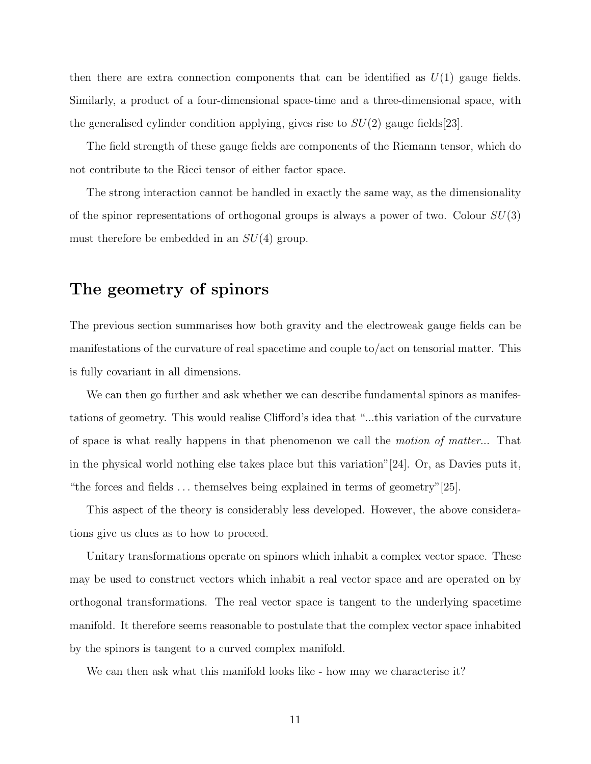then there are extra connection components that can be identified as  $U(1)$  gauge fields. Similarly, a product of a four-dimensional space-time and a three-dimensional space, with the generalised cylinder condition applying, gives rise to  $SU(2)$  gauge fields [23].

The field strength of these gauge fields are components of the Riemann tensor, which do not contribute to the Ricci tensor of either factor space.

The strong interaction cannot be handled in exactly the same way, as the dimensionality of the spinor representations of orthogonal groups is always a power of two. Colour  $SU(3)$ must therefore be embedded in an  $SU(4)$  group.

# The geometry of spinors

The previous section summarises how both gravity and the electroweak gauge fields can be manifestations of the curvature of real spacetime and couple to/act on tensorial matter. This is fully covariant in all dimensions.

We can then go further and ask whether we can describe fundamental spinors as manifestations of geometry. This would realise Clifford's idea that "...this variation of the curvature of space is what really happens in that phenomenon we call the motion of matter... That in the physical world nothing else takes place but this variation"[24]. Or, as Davies puts it, "the forces and fields . . . themselves being explained in terms of geometry"[25].

This aspect of the theory is considerably less developed. However, the above considerations give us clues as to how to proceed.

Unitary transformations operate on spinors which inhabit a complex vector space. These may be used to construct vectors which inhabit a real vector space and are operated on by orthogonal transformations. The real vector space is tangent to the underlying spacetime manifold. It therefore seems reasonable to postulate that the complex vector space inhabited by the spinors is tangent to a curved complex manifold.

We can then ask what this manifold looks like - how may we characterise it?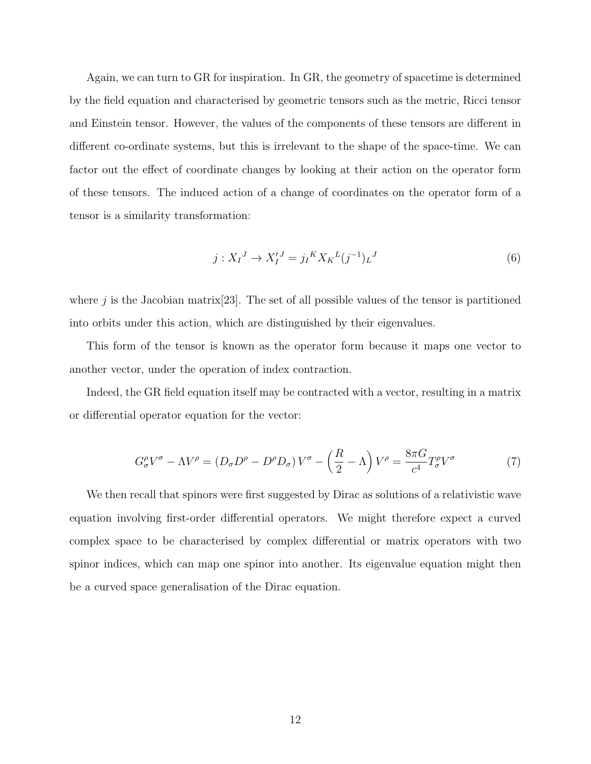Again, we can turn to GR for inspiration. In GR, the geometry of spacetime is determined by the field equation and characterised by geometric tensors such as the metric, Ricci tensor and Einstein tensor. However, the values of the components of these tensors are different in different co-ordinate systems, but this is irrelevant to the shape of the space-time. We can factor out the effect of coordinate changes by looking at their action on the operator form of these tensors. The induced action of a change of coordinates on the operator form of a tensor is a similarity transformation:

$$
j: X_I^J \to X_I^{\prime J} = j_I^K X_K^L (j^{-1})_L^J \tag{6}
$$

where j is the Jacobian matrix  $[23]$ . The set of all possible values of the tensor is partitioned into orbits under this action, which are distinguished by their eigenvalues.

This form of the tensor is known as the operator form because it maps one vector to another vector, under the operation of index contraction.

Indeed, the GR field equation itself may be contracted with a vector, resulting in a matrix or differential operator equation for the vector:

$$
G^{\rho}_{\sigma}V^{\sigma} - \Lambda V^{\rho} = (D_{\sigma}D^{\rho} - D^{\rho}D_{\sigma})V^{\sigma} - \left(\frac{R}{2} - \Lambda\right)V^{\rho} = \frac{8\pi G}{c^{4}}T^{\rho}_{\sigma}V^{\sigma}
$$
(7)

We then recall that spinors were first suggested by Dirac as solutions of a relativistic wave equation involving first-order differential operators. We might therefore expect a curved complex space to be characterised by complex differential or matrix operators with two spinor indices, which can map one spinor into another. Its eigenvalue equation might then be a curved space generalisation of the Dirac equation.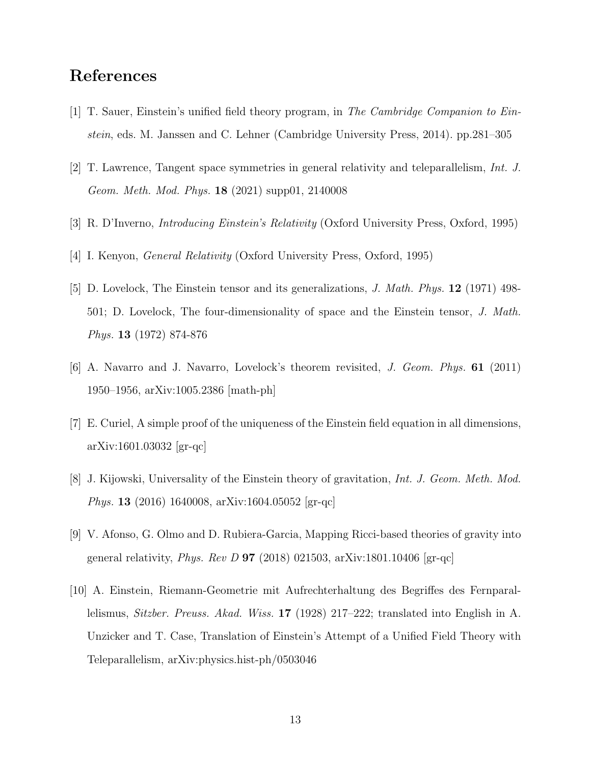# References

- [1] T. Sauer, Einstein's unified field theory program, in The Cambridge Companion to Einstein, eds. M. Janssen and C. Lehner (Cambridge University Press, 2014). pp.281–305
- [2] T. Lawrence, Tangent space symmetries in general relativity and teleparallelism, Int. J. Geom. Meth. Mod. Phys. 18 (2021) supp01, 2140008
- [3] R. D'Inverno, Introducing Einstein's Relativity (Oxford University Press, Oxford, 1995)
- [4] I. Kenyon, General Relativity (Oxford University Press, Oxford, 1995)
- [5] D. Lovelock, The Einstein tensor and its generalizations, J. Math. Phys. 12 (1971) 498- 501; D. Lovelock, The four-dimensionality of space and the Einstein tensor, J. Math. Phys. 13 (1972) 874-876
- [6] A. Navarro and J. Navarro, Lovelock's theorem revisited, J. Geom. Phys. 61 (2011) 1950–1956, arXiv:1005.2386 [math-ph]
- [7] E. Curiel, A simple proof of the uniqueness of the Einstein field equation in all dimensions, arXiv:1601.03032 [gr-qc]
- [8] J. Kijowski, Universality of the Einstein theory of gravitation, Int. J. Geom. Meth. Mod. Phys. 13 (2016) 1640008, arXiv:1604.05052 [gr-qc]
- [9] V. Afonso, G. Olmo and D. Rubiera-Garcia, Mapping Ricci-based theories of gravity into general relativity, *Phys. Rev D* **97** (2018) 021503, arXiv:1801.10406 [gr-qc]
- [10] A. Einstein, Riemann-Geometrie mit Aufrechterhaltung des Begriffes des Fernparallelismus, Sitzber. Preuss. Akad. Wiss. 17 (1928) 217–222; translated into English in A. Unzicker and T. Case, Translation of Einstein's Attempt of a Unified Field Theory with Teleparallelism, arXiv:physics.hist-ph/0503046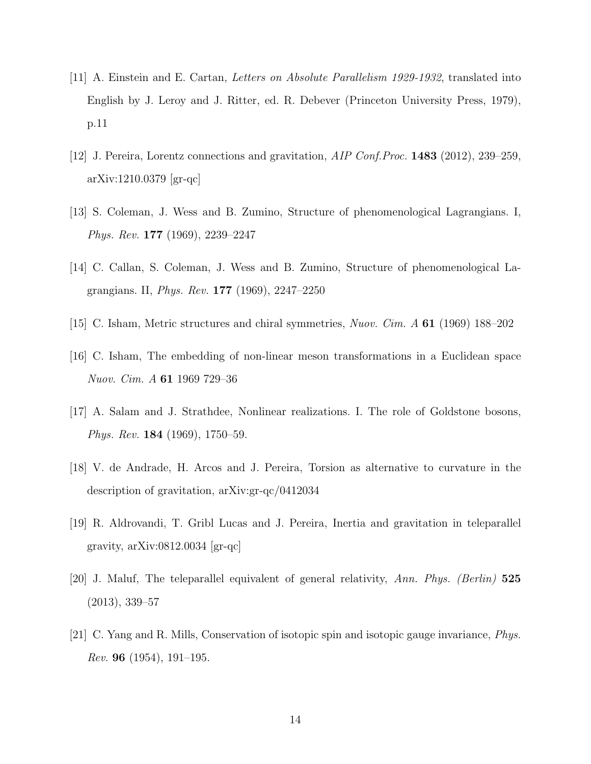- [11] A. Einstein and E. Cartan, Letters on Absolute Parallelism 1929-1932, translated into English by J. Leroy and J. Ritter, ed. R. Debever (Princeton University Press, 1979), p.11
- [12] J. Pereira, Lorentz connections and gravitation, AIP Conf.Proc. 1483 (2012), 239–259, arXiv:1210.0379 [gr-qc]
- [13] S. Coleman, J. Wess and B. Zumino, Structure of phenomenological Lagrangians. I, Phys. Rev. 177 (1969), 2239–2247
- [14] C. Callan, S. Coleman, J. Wess and B. Zumino, Structure of phenomenological Lagrangians. II, Phys. Rev. 177 (1969), 2247–2250
- [15] C. Isham, Metric structures and chiral symmetries, Nuov. Cim. A 61 (1969) 188–202
- [16] C. Isham, The embedding of non-linear meson transformations in a Euclidean space Nuov. Cim. A 61 1969 729–36
- [17] A. Salam and J. Strathdee, Nonlinear realizations. I. The role of Goldstone bosons, Phys. Rev. 184 (1969), 1750–59.
- [18] V. de Andrade, H. Arcos and J. Pereira, Torsion as alternative to curvature in the description of gravitation, arXiv:gr-qc/0412034
- [19] R. Aldrovandi, T. Gribl Lucas and J. Pereira, Inertia and gravitation in teleparallel gravity,  $arXiv:0812.0034$  [gr-qc]
- [20] J. Maluf, The teleparallel equivalent of general relativity, Ann. Phys. (Berlin) 525 (2013), 339–57
- [21] C. Yang and R. Mills, Conservation of isotopic spin and isotopic gauge invariance, Phys. *Rev.* 96 (1954), 191–195.